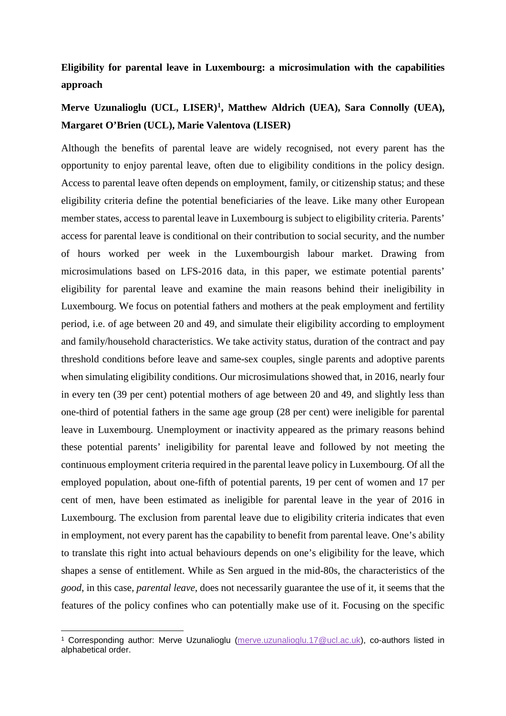## **Eligibility for parental leave in Luxembourg: a microsimulation with the capabilities approach**

## **Merve Uzunalioglu (UCL, LISER)[1](#page-0-0), Matthew Aldrich (UEA), Sara Connolly (UEA), Margaret O'Brien (UCL), Marie Valentova (LISER)**

Although the benefits of parental leave are widely recognised, not every parent has the opportunity to enjoy parental leave, often due to eligibility conditions in the policy design. Access to parental leave often depends on employment, family, or citizenship status; and these eligibility criteria define the potential beneficiaries of the leave. Like many other European member states, access to parental leave in Luxembourg is subject to eligibility criteria. Parents' access for parental leave is conditional on their contribution to social security, and the number of hours worked per week in the Luxembourgish labour market. Drawing from microsimulations based on LFS-2016 data, in this paper, we estimate potential parents' eligibility for parental leave and examine the main reasons behind their ineligibility in Luxembourg. We focus on potential fathers and mothers at the peak employment and fertility period, i.e. of age between 20 and 49, and simulate their eligibility according to employment and family/household characteristics. We take activity status, duration of the contract and pay threshold conditions before leave and same-sex couples, single parents and adoptive parents when simulating eligibility conditions. Our microsimulations showed that, in 2016, nearly four in every ten (39 per cent) potential mothers of age between 20 and 49, and slightly less than one-third of potential fathers in the same age group (28 per cent) were ineligible for parental leave in Luxembourg. Unemployment or inactivity appeared as the primary reasons behind these potential parents' ineligibility for parental leave and followed by not meeting the continuous employment criteria required in the parental leave policy in Luxembourg. Of all the employed population, about one-fifth of potential parents, 19 per cent of women and 17 per cent of men, have been estimated as ineligible for parental leave in the year of 2016 in Luxembourg. The exclusion from parental leave due to eligibility criteria indicates that even in employment, not every parent has the capability to benefit from parental leave. One's ability to translate this right into actual behaviours depends on one's eligibility for the leave, which shapes a sense of entitlement. While as Sen argued in the mid-80s, the characteristics of the *good*, in this case, *parental leave*, does not necessarily guarantee the use of it, it seems that the features of the policy confines who can potentially make use of it. Focusing on the specific

<span id="page-0-0"></span> <sup>1</sup> Corresponding author: Merve Uzunalioglu [\(merve.uzunalioglu.17@ucl.ac.uk\)](mailto:merve.uzunalioglu.17@ucl.ac.uk), co-authors listed in alphabetical order.